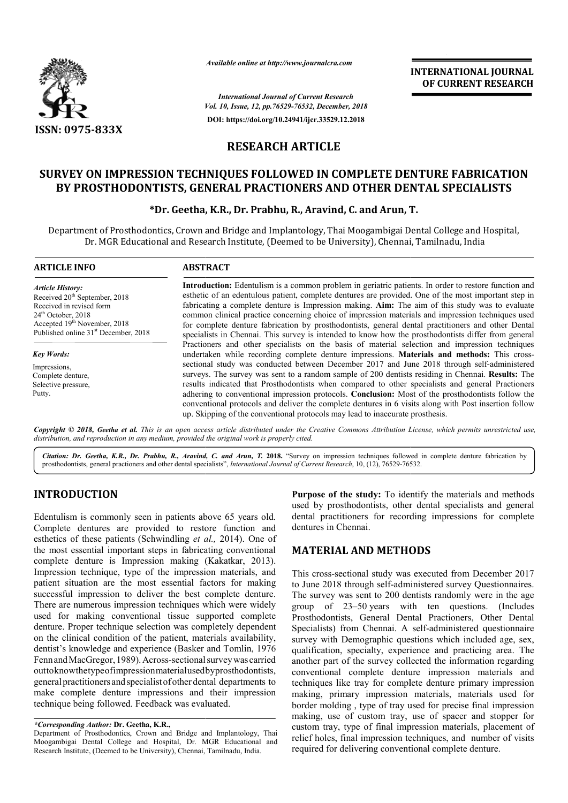

*Available online at http://www.journalcra.com*

*Vol. 10, Issue, 12, pp. pp.76529-76532, December, 2018 International Journal of Current Research* **DOI: https://doi.org/10.24941/ijcr.33529.12.2018**

**INTERNATIONAL JOURNAL OF CURRENT RESEARCH**

# **RESEARCH ARTICLE**

# **SURVEY ON IMPRESSION TECHNIQUES FOLLOWED IN COMPLETE DENTURE FABRICATION**  RVEY ON IMPRESSION TECHNIQUES FOLLOWED IN COMPLETE DENTURE FABRICATI<br>BY PROSTHODONTISTS, GENERAL PRACTIONERS AND OTHER DENTAL SPECIALISTS

#### **\*Dr. Geetha, K.R., Dr. Dr. Prabhu, R., Aravind, C. and Arun, T T.**

Department of Prosthodontics, Crown and Bridge and Implantology, Thai Moogambigai Dental College and Hospital, Dr. MGR Educational and Research Institute, (Deemed to be University), Chennai, Tamilnadu, India Educational and

| <b>ARTICLE INFO</b>                                                                                                                                                                                          | <b>ABSTRACT</b>                                                                                                                                                                                                                                                                                                                                                                                                                                                                                                                                                                                                                                                                                                                                                                                                                                                                                                                                                                                                                                                                                                                                                                                                                                                                                                                                                                                                                                          |
|--------------------------------------------------------------------------------------------------------------------------------------------------------------------------------------------------------------|----------------------------------------------------------------------------------------------------------------------------------------------------------------------------------------------------------------------------------------------------------------------------------------------------------------------------------------------------------------------------------------------------------------------------------------------------------------------------------------------------------------------------------------------------------------------------------------------------------------------------------------------------------------------------------------------------------------------------------------------------------------------------------------------------------------------------------------------------------------------------------------------------------------------------------------------------------------------------------------------------------------------------------------------------------------------------------------------------------------------------------------------------------------------------------------------------------------------------------------------------------------------------------------------------------------------------------------------------------------------------------------------------------------------------------------------------------|
| <b>Article History:</b><br>Received 20 <sup>th</sup> September, 2018<br>Received in revised form<br>$24th$ October, 2018<br>Accepted 19th November, 2018<br>Published online 31 <sup>st</sup> December, 2018 | <b>Introduction:</b> Edentulism is a common problem in geriatric patients. In order to restore function and<br>esthetic of an edentulous patient, complete dentures are provided. One of the most important step in<br>fabricating a complete denture is Impression making. Aim: The aim of this study was to evaluate<br>common clinical practice concerning choice of impression materials and impression techniques used<br>for complete denture fabrication by prosthodontists, general dental practitioners and other Dental<br>specialists in Chennai. This survey is intended to know how the prosthodontists differ from general<br>Practioners and other specialists on the basis of material selection and impression techniques<br>undertaken while recording complete denture impressions. <b>Materials and methods:</b> This cross-<br>sectional study was conducted between December 2017 and June 2018 through self-administered<br>surveys. The survey was sent to a random sample of 200 dentists residing in Chennai. Results: The<br>results indicated that Prosthodontists when compared to other specialists and general Practioners<br>adhering to conventional impression protocols. Conclusion: Most of the prosthodontists follow the<br>conventional protocols and deliver the complete dentures in 6 visits along with Post insertion follow<br>up. Skipping of the conventional protocols may lead to inaccurate prosthesis. |
| <b>Key Words:</b><br>Impressions,<br>Complete denture.<br>Selective pressure,<br>Putty.                                                                                                                      |                                                                                                                                                                                                                                                                                                                                                                                                                                                                                                                                                                                                                                                                                                                                                                                                                                                                                                                                                                                                                                                                                                                                                                                                                                                                                                                                                                                                                                                          |

Copyright © 2018, Geetha et al. This is an open access article distributed under the Creative Commons Attribution License, which permits unrestricted use, *distribution, and reproduction in any medium, provided the original work is properly cited.*

Citation: Dr. Geetha, K.R., Dr. Prabhu, R., Aravind, C. and Arun, T. 2018. "Survey on impression techniques followed in complete denture fabrication by prosthodontists, general practioners and other dental specialists", *I* prosthodontists, general practioners and other dental specialists", *International Journal of Current Research*, 10, (12), 76529-76532

# **INTRODUCTION**

Edentulism is commonly seen in patients above 65 years old. Complete dentures are provided to restore function and esthetics of these patients (Schwindling *et al.,*  2014). One of the most essential important steps in fabricating conventional complete denture is Impression making ( (Kakatkar, 2013). Impression technique, type of the impression materials, and patient situation are the most essential factors for making successful impression to deliver the best complete denture. There are numerous impression techniques which were widely used for making conventional tissue supported complete denture. Proper technique selection was completely dependent on the clinical condition of the patient, materials availability, dentist's knowledge and experience (Basker and Tomlin, 1976 Fenn and MacGregor, 1989). Across-sectional survey was carried outtoknowthetypeofimpressionmaterialused byprosthodontists, general practitioners and specialist of other dental departments to make complete denture impressions and their impression technique being followed. Feedback was evaluated.

**Purpose of the study:** To identify the materials and methods used by prosthodontists, other dental specialists and general dental practitioners for recording impressions for complete dentures in Chennai. general practitioners section of the dental specialists and general practitioners for recording impressions for complete s in Chennai.<br> **ERIAL AND METHODS**<br>
oss-sectional study was executed from December 2017<br>
2018 through

### **MATERIAL AND METHODS**

This cross-sectional study was executed from December 2017 to June 2018 through self-administered survey Questionnaires. The survey was sent to 200 dentists randomly were in the age group of 23–50 years with ten questions. (Includes Prosthodontists, General Dental Practioners, Other Dental group of 23–50 years with ten questions. (Includes Prosthodontists, General Dental Practioners, Other Dental Specialists) from Chennai. A self-administered questionnaire survey with Demographic questions which included age, sex, qualification, specialty, experience and practicing area. The another part of the survey collected the information regarding conventional complete denture impression materials and techniques like tray for complete denture primary impression making, primary impression materials, materials used for border molding , type of tray used for precise final impression making, use of custom tray, use of spacer and stopper for custom tray, type of final impression materials, placement of relief holes, final impression techniques, and number of visits required for delivering conventional complete denture. survey with Demographic questions which included age, sex, qualification, specialty, experience and practicing area. The another part of the survey collected the information regarding conventional complete denture impressi impression

*<sup>\*</sup>Corresponding Author:* **Dr. Geetha, K.R.,** 

Department of Prosthodontics, Crown and Bridge and Implantology, Thai Moogambigai Dental College and Hospital, Dr. MGR Educational and Research Institute, (Deemed to be University), Chennai, Tamilnadu, India.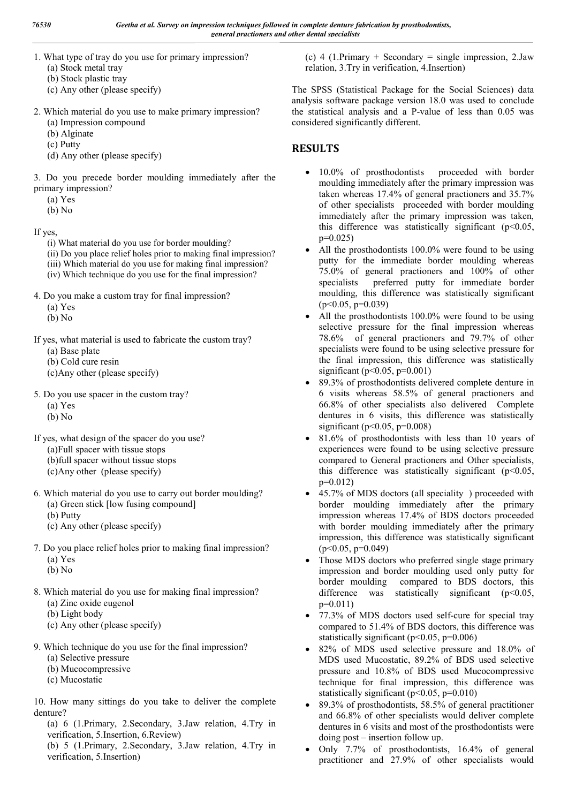- 1. What type of tray do you use for primary impression?
	- (a) Stock metal tray
	- (b) Stock plastic tray
	- (c) Any other (please specify)
- 2. Which material do you use to make primary impression? (a) Impression compound
	- (b) Alginate
	- (c) Putty
	- (d) Any other (please specify)

3. Do you precede border moulding immediately after the primary impression?

- (a) Yes
- (b) No

If yes,

- (i) What material do you use for border moulding?
- (ii) Do you place relief holes prior to making final impression?
- (iii) Which material do you use for making final impression?
- (iv) Which technique do you use for the final impression?
- 4. Do you make a custom tray for final impression?
	- (a) Yes
	- (b) No

If yes, what material is used to fabricate the custom tray?

- (a) Base plate
- (b) Cold cure resin
- (c)Any other (please specify)

5. Do you use spacer in the custom tray?

- (a) Yes
- (b) No
- If yes, what design of the spacer do you use?
	- (a)Full spacer with tissue stops
	- (b)full spacer without tissue stops
	- (c)Any other (please specify)
- 6. Which material do you use to carry out border moulding?
	- (a) Green stick [low fusing compound]
	- (b) Putty
	- (c) Any other (please specify)
- 7. Do you place relief holes prior to making final impression? (a) Yes
	- (b) No
- 8. Which material do you use for making final impression?
	- (a) Zinc oxide eugenol
	- (b) Light body
	- (c) Any other (please specify)
- 9. Which technique do you use for the final impression?
	- (a) Selective pressure
	- (b) Mucocompressive
	- (c) Mucostatic

10. How many sittings do you take to deliver the complete denture?

(a) 6 (1.Primary, 2.Secondary, 3.Jaw relation, 4.Try in verification, 5.Insertion, 6.Review)

(b) 5 (1.Primary, 2.Secondary, 3.Jaw relation, 4.Try in verification, 5.Insertion)

(c) 4 (1.Primary + Secondary = single impression, 2.Jaw relation, 3.Try in verification, 4.Insertion)

The SPSS (Statistical Package for the Social Sciences) data analysis software package version 18.0 was used to conclude the statistical analysis and a P-value of less than 0.05 was considered significantly different.

# **RESULTS**

- 10.0% of prosthodontists proceeded with border moulding immediately after the primary impression was taken whereas 17.4% of general practioners and 35.7% of other specialists proceeded with border moulding immediately after the primary impression was taken, this difference was statistically significant ( $p<0.05$ ,  $p=0.025$
- All the prosthodontists 100.0% were found to be using putty for the immediate border moulding whereas 75.0% of general practioners and 100% of other specialists preferred putty for immediate border moulding, this difference was statistically significant  $(p<0.05, p=0.039)$
- All the prosthodontists 100.0% were found to be using selective pressure for the final impression whereas 78.6% of general practioners and 79.7% of other specialists were found to be using selective pressure for the final impression, this difference was statistically significant ( $p<0.05$ ,  $p=0.001$ )
- 89.3% of prosthodontists delivered complete denture in 6 visits whereas 58.5% of general practioners and 66.8% of other specialists also delivered Complete dentures in 6 visits, this difference was statistically significant ( $p$ <0.05,  $p$ =0.008)
- 81.6% of prosthodontists with less than 10 years of experiences were found to be using selective pressure compared to General practioners and Other specialists, this difference was statistically significant ( $p$ <0.05,  $p=0.012$
- 45.7% of MDS doctors (all speciality ) proceeded with border moulding immediately after the primary impression whereas 17.4% of BDS doctors proceeded with border moulding immediately after the primary impression, this difference was statistically significant  $(p<0.05, p=0.049)$
- Those MDS doctors who preferred single stage primary impression and border moulding used only putty for border moulding compared to BDS doctors, this difference was statistically significant  $(p<0.05$ ,  $p=0.011$
- 77.3% of MDS doctors used self-cure for special tray compared to 51.4% of BDS doctors, this difference was statistically significant ( $p<0.05$ ,  $p=0.006$ )
- 82% of MDS used selective pressure and 18.0% of MDS used Mucostatic, 89.2% of BDS used selective pressure and 10.8% of BDS used Mucocompressive technique for final impression, this difference was statistically significant (p<0.05, p=0.010)
- 89.3% of prosthodontists, 58.5% of general practitioner and 66.8% of other specialists would deliver complete dentures in 6 visits and most of the prosthodontists were doing post – insertion follow up.
- Only 7.7% of prosthodontists, 16.4% of general practitioner and 27.9% of other specialists would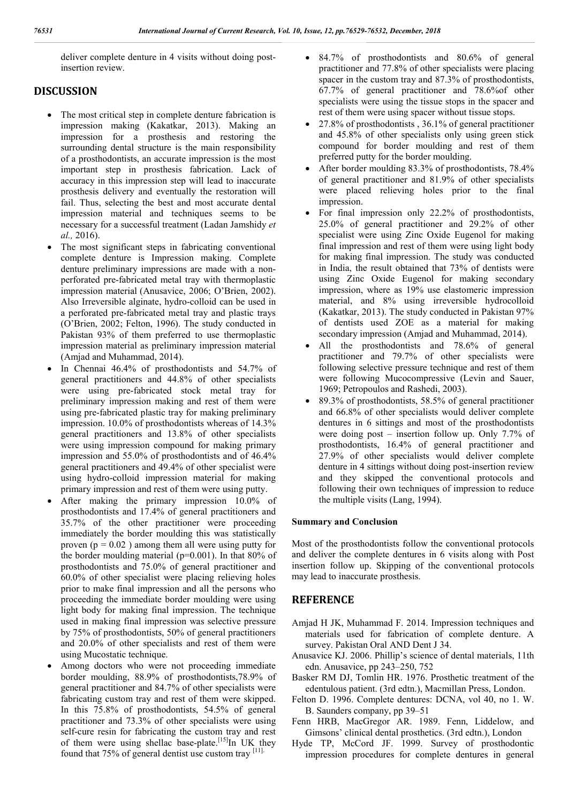deliver complete denture in 4 visits without doing postinsertion review.

## **DISCUSSION**

- The most critical step in complete denture fabrication is impression making (Kakatkar, 2013). Making an impression for a prosthesis and restoring the surrounding dental structure is the main responsibility of a prosthodontists, an accurate impression is the most important step in prosthesis fabrication. Lack of accuracy in this impression step will lead to inaccurate prosthesis delivery and eventually the restoration will fail. Thus, selecting the best and most accurate dental impression material and techniques seems to be necessary for a successful treatment (Ladan Jamshidy *et al.,* 2016).
- The most significant steps in fabricating conventional complete denture is Impression making. Complete denture preliminary impressions are made with a nonperforated pre-fabricated metal tray with thermoplastic impression material (Anusavice, 2006; O'Brien, 2002). Also Irreversible alginate, hydro-colloid can be used in a perforated pre-fabricated metal tray and plastic trays (O'Brien, 2002; Felton, 1996). The study conducted in Pakistan 93% of them preferred to use thermoplastic impression material as preliminary impression material (Amjad and Muhammad, 2014).
- In Chennai 46.4% of prosthodontists and 54.7% of general practitioners and 44.8% of other specialists were using pre-fabricated stock metal tray for preliminary impression making and rest of them were using pre-fabricated plastic tray for making preliminary impression. 10.0% of prosthodontists whereas of 14.3% general practitioners and 13.8% of other specialists were using impression compound for making primary impression and 55.0% of prosthodontists and of 46.4% general practitioners and 49.4% of other specialist were using hydro-colloid impression material for making primary impression and rest of them were using putty.
- After making the primary impression 10.0% of prosthodontists and 17.4% of general practitioners and 35.7% of the other practitioner were proceeding immediately the border moulding this was statistically proven ( $p = 0.02$ ) among them all were using putty for the border moulding material ( $p=0.001$ ). In that 80% of prosthodontists and 75.0% of general practitioner and 60.0% of other specialist were placing relieving holes prior to make final impression and all the persons who proceeding the immediate border moulding were using light body for making final impression. The technique used in making final impression was selective pressure by 75% of prosthodontists, 50% of general practitioners and 20.0% of other specialists and rest of them were using Mucostatic technique.
- Among doctors who were not proceeding immediate border moulding, 88.9% of prosthodontists,78.9% of general practitioner and 84.7% of other specialists were fabricating custom tray and rest of them were skipped. In this 75.8% of prosthodontists, 54.5% of general practitioner and 73.3% of other specialists were using self-cure resin for fabricating the custom tray and rest of them were using shellac base-plate.<sup>[15]</sup>In UK they found that 75% of general dentist use custom tray [11].
- 84.7% of prosthodontists and 80.6% of general practitioner and 77.8% of other specialists were placing spacer in the custom tray and 87.3% of prosthodontists, 67.7% of general practitioner and 78.6%of other specialists were using the tissue stops in the spacer and rest of them were using spacer without tissue stops.
- 27.8% of prosthodontists , 36.1% of general practitioner and 45.8% of other specialists only using green stick compound for border moulding and rest of them preferred putty for the border moulding.
- After border moulding 83.3% of prosthodontists, 78.4% of general practitioner and 81.9% of other specialists were placed relieving holes prior to the final impression.
- For final impression only 22.2% of prosthodontists, 25.0% of general practitioner and 29.2% of other specialist were using Zinc Oxide Eugenol for making final impression and rest of them were using light body for making final impression. The study was conducted in India, the result obtained that 73% of dentists were using Zinc Oxide Eugenol for making secondary impression, where as 19% use elastomeric impression material, and 8% using irreversible hydrocolloid (Kakatkar, 2013). The study conducted in Pakistan 97% of dentists used ZOE as a material for making secondary impression (Amjad and Muhammad, 2014).
- All the prosthodontists and 78.6% of general practitioner and 79.7% of other specialists were following selective pressure technique and rest of them were following Mucocompressive (Levin and Sauer, 1969; Petropoulos and Rashedi, 2003).
- 89.3% of prosthodontists, 58.5% of general practitioner and 66.8% of other specialists would deliver complete dentures in 6 sittings and most of the prosthodontists were doing post – insertion follow up. Only 7.7% of prosthodontists, 16.4% of general practitioner and 27.9% of other specialists would deliver complete denture in 4 sittings without doing post-insertion review and they skipped the conventional protocols and following their own techniques of impression to reduce the multiple visits (Lang, 1994).

#### **Summary and Conclusion**

Most of the prosthodontists follow the conventional protocols and deliver the complete dentures in 6 visits along with Post insertion follow up. Skipping of the conventional protocols may lead to inaccurate prosthesis.

### **REFERENCE**

- Amjad H JK, Muhammad F. 2014. Impression techniques and materials used for fabrication of complete denture. A survey. Pakistan Oral AND Dent J 34.
- Anusavice KJ. 2006. Phillip's science of dental materials, 11th edn. Anusavice, pp 243–250, 752
- Basker RM DJ, Tomlin HR. 1976. Prosthetic treatment of the edentulous patient. (3rd edtn.), Macmillan Press, London.
- Felton D. 1996. Complete dentures: DCNA, vol 40, no 1. W. B. Saunders company, pp 39–51
- Fenn HRB, MacGregor AR. 1989. Fenn, Liddelow, and Gimsons' clinical dental prosthetics. (3rd edtn.), London
- Hyde TP, McCord JF. 1999. Survey of prosthodontic impression procedures for complete dentures in general